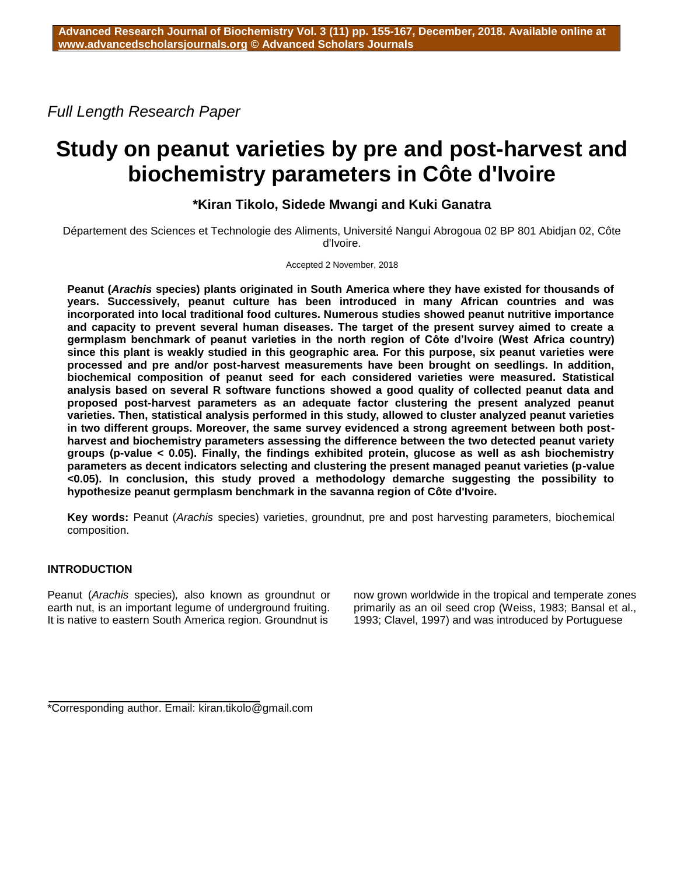*Full Length Research Paper*

# **Study on peanut varieties by pre and post-harvest and biochemistry parameters in Côte d'Ivoire**

# **\*Kiran Tikolo, Sidede Mwangi and Kuki Ganatra**

Département des Sciences et Technologie des Aliments, Université Nangui Abrogoua 02 BP 801 Abidjan 02, Côte d'Ivoire.

Accepted 2 November, 2018

**Peanut (***Arachis* **species) plants originated in South America where they have existed for thousands of years. Successively, peanut culture has been introduced in many African countries and was incorporated into local traditional food cultures. Numerous studies showed peanut nutritive importance and capacity to prevent several human diseases. The target of the present survey aimed to create a germplasm benchmark of peanut varieties in the north region of Côte d'Ivoire (West Africa country) since this plant is weakly studied in this geographic area. For this purpose, six peanut varieties were processed and pre and/or post-harvest measurements have been brought on seedlings. In addition, biochemical composition of peanut seed for each considered varieties were measured. Statistical analysis based on several R software functions showed a good quality of collected peanut data and proposed post-harvest parameters as an adequate factor clustering the present analyzed peanut varieties. Then, statistical analysis performed in this study, allowed to cluster analyzed peanut varieties in two different groups. Moreover, the same survey evidenced a strong agreement between both postharvest and biochemistry parameters assessing the difference between the two detected peanut variety groups (p-value < 0.05). Finally, the findings exhibited protein, glucose as well as ash biochemistry parameters as decent indicators selecting and clustering the present managed peanut varieties (p-value <0.05). In conclusion, this study proved a methodology demarche suggesting the possibility to hypothesize peanut germplasm benchmark in the savanna region of Côte d'Ivoire.**

**Key words:** Peanut (*Arachis* species) varieties, groundnut, pre and post harvesting parameters, biochemical composition.

# **INTRODUCTION**

Peanut (*Arachis* species)*,* also known as groundnut or earth nut, is an important legume of underground fruiting. It is native to eastern South America region. Groundnut is now grown worldwide in the tropical and temperate zones primarily as an oil seed crop (Weiss, 1983; Bansal et al., 1993; Clavel, 1997) and was introduced by Portuguese

\*Corresponding author. Email: kiran.tikolo@gmail.com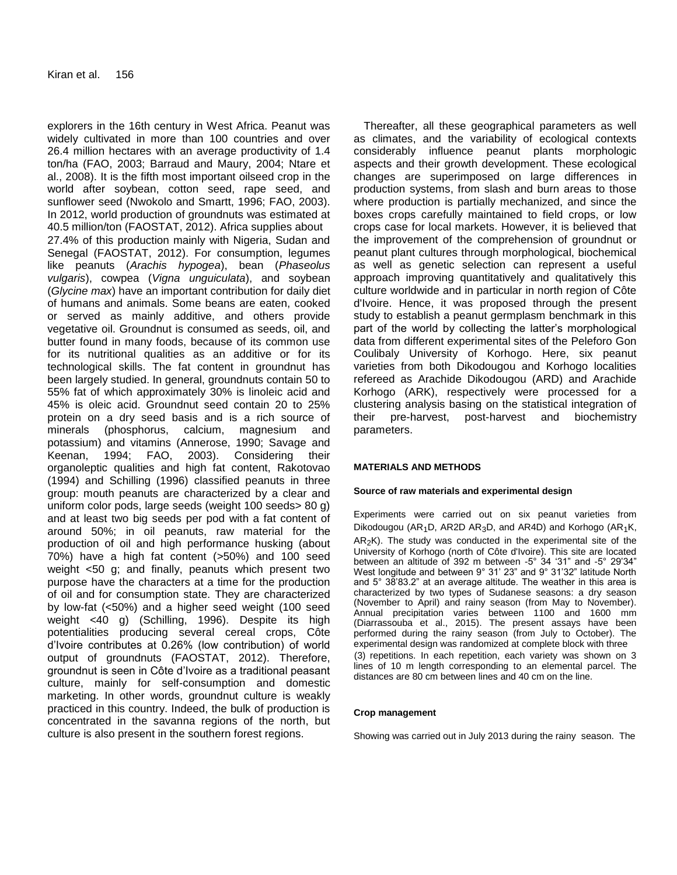explorers in the 16th century in West Africa. Peanut was widely cultivated in more than 100 countries and over 26.4 million hectares with an average productivity of 1.4 ton/ha (FAO, 2003; Barraud and Maury, 2004; Ntare et al., 2008). It is the fifth most important oilseed crop in the world after soybean, cotton seed, rape seed, and sunflower seed (Nwokolo and Smartt, 1996; FAO, 2003). In 2012, world production of groundnuts was estimated at 40.5 million/ton (FAOSTAT, 2012). Africa supplies about 27.4% of this production mainly with Nigeria, Sudan and Senegal (FAOSTAT, 2012). For consumption, legumes like peanuts (*Arachis hypogea*), bean (*Phaseolus vulgaris*), cowpea (*Vigna unguiculata*), and soybean (*Glycine max*) have an important contribution for daily diet of humans and animals. Some beans are eaten, cooked or served as mainly additive, and others provide vegetative oil. Groundnut is consumed as seeds, oil, and butter found in many foods, because of its common use for its nutritional qualities as an additive or for its technological skills. The fat content in groundnut has been largely studied. In general, groundnuts contain 50 to 55% fat of which approximately 30% is linoleic acid and 45% is oleic acid. Groundnut seed contain 20 to 25% protein on a dry seed basis and is a rich source of minerals (phosphorus, calcium, magnesium and potassium) and vitamins (Annerose, 1990; Savage and Keenan, 1994; FAO, 2003). Considering their organoleptic qualities and high fat content, Rakotovao (1994) and Schilling (1996) classified peanuts in three group: mouth peanuts are characterized by a clear and uniform color pods, large seeds (weight 100 seeds> 80 g) and at least two big seeds per pod with a fat content of around 50%; in oil peanuts, raw material for the production of oil and high performance husking (about 70%) have a high fat content (>50%) and 100 seed weight <50 g; and finally, peanuts which present two purpose have the characters at a time for the production of oil and for consumption state. They are characterized by low-fat (<50%) and a higher seed weight (100 seed weight <40 g) (Schilling, 1996). Despite its high potentialities producing several cereal crops, Côte d'Ivoire contributes at 0.26% (low contribution) of world output of groundnuts (FAOSTAT, 2012). Therefore, groundnut is seen in Côte d'Ivoire as a traditional peasant culture, mainly for self-consumption and domestic marketing. In other words, groundnut culture is weakly practiced in this country. Indeed, the bulk of production is concentrated in the savanna regions of the north, but culture is also present in the southern forest regions.

Thereafter, all these geographical parameters as well as climates, and the variability of ecological contexts considerably influence peanut plants morphologic aspects and their growth development. These ecological changes are superimposed on large differences in production systems, from slash and burn areas to those where production is partially mechanized, and since the boxes crops carefully maintained to field crops, or low crops case for local markets. However, it is believed that the improvement of the comprehension of groundnut or peanut plant cultures through morphological, biochemical as well as genetic selection can represent a useful approach improving quantitatively and qualitatively this culture worldwide and in particular in north region of Côte d'Ivoire. Hence, it was proposed through the present study to establish a peanut germplasm benchmark in this part of the world by collecting the latter's morphological data from different experimental sites of the Peleforo Gon Coulibaly University of Korhogo. Here, six peanut varieties from both Dikodougou and Korhogo localities refereed as Arachide Dikodougou (ARD) and Arachide Korhogo (ARK), respectively were processed for a clustering analysis basing on the statistical integration of their pre-harvest, post-harvest and biochemistry parameters.

## **MATERIALS AND METHODS**

#### **Source of raw materials and experimental design**

Experiments were carried out on six peanut varieties from Dikodougou (AR<sub>1</sub>D, AR2D AR<sub>3</sub>D, and AR4D) and Korhogo (AR<sub>1</sub>K,  $AR<sub>2</sub>K$ ). The study was conducted in the experimental site of the University of Korhogo (north of Côte d'Ivoire). This site are located between an altitude of 392 m between -5° 34 '31" and -5° 29'34" West longitude and between 9° 31' 23" and 9° 31'32" latitude North and 5° 38'83.2" at an average altitude. The weather in this area is characterized by two types of Sudanese seasons: a dry season (November to April) and rainy season (from May to November). Annual precipitation varies between 1100 and 1600 mm (Diarrassouba et al., 2015). The present assays have been performed during the rainy season (from July to October). The experimental design was randomized at complete block with three (3) repetitions. In each repetition, each variety was shown on 3 lines of 10 m length corresponding to an elemental parcel. The distances are 80 cm between lines and 40 cm on the line.

#### **Crop management**

Showing was carried out in July 2013 during the rainy season. The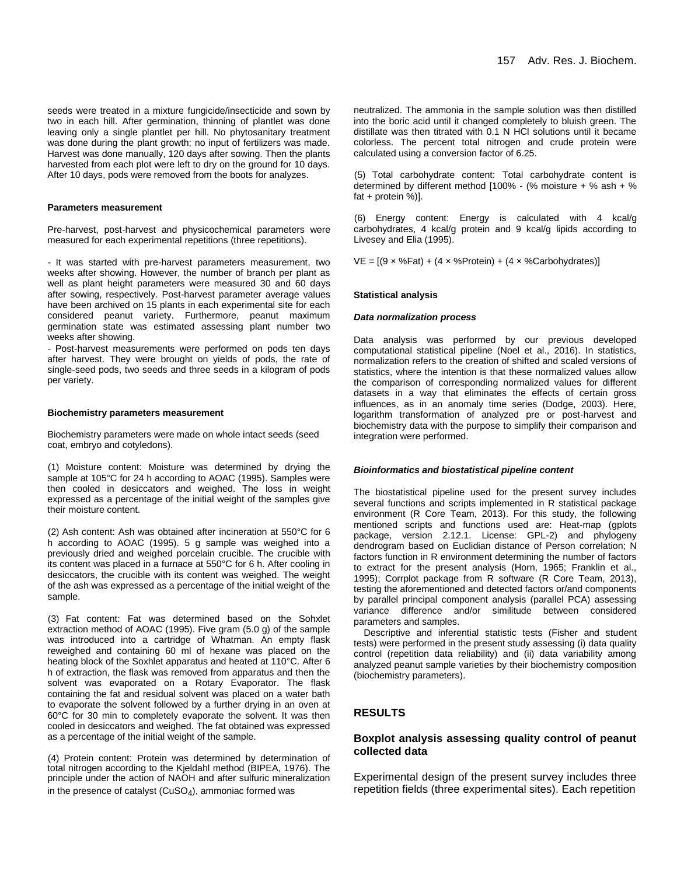seeds were treated in a mixture fungicide/insecticide and sown by two in each hill. After germination, thinning of plantlet was done leaving only a single plantlet per hill. No phytosanitary treatment was done during the plant growth; no input of fertilizers was made. Harvest was done manually, 120 days after sowing. Then the plants harvested from each plot were left to dry on the ground for 10 days. After 10 days, pods were removed from the boots for analyzes.

#### **Parameters measurement**

Pre-harvest, post-harvest and physicochemical parameters were measured for each experimental repetitions (three repetitions).

- It was started with pre-harvest parameters measurement, two weeks after showing. However, the number of branch per plant as well as plant height parameters were measured 30 and 60 days after sowing, respectively. Post-harvest parameter average values have been archived on 15 plants in each experimental site for each considered peanut variety. Furthermore, peanut maximum germination state was estimated assessing plant number two weeks after showing.

- Post-harvest measurements were performed on pods ten days after harvest. They were brought on yields of pods, the rate of single-seed pods, two seeds and three seeds in a kilogram of pods per variety.

#### **Biochemistry parameters measurement**

Biochemistry parameters were made on whole intact seeds (seed coat, embryo and cotyledons).

(1) Moisture content: Moisture was determined by drying the sample at 105°C for 24 h according to AOAC (1995). Samples were then cooled in desiccators and weighed. The loss in weight expressed as a percentage of the initial weight of the samples give their moisture content.

(2) Ash content: Ash was obtained after incineration at 550°C for 6 h according to AOAC (1995). 5 g sample was weighed into a previously dried and weighed porcelain crucible. The crucible with its content was placed in a furnace at 550°C for 6 h. After cooling in desiccators, the crucible with its content was weighed. The weight of the ash was expressed as a percentage of the initial weight of the sample.

(3) Fat content: Fat was determined based on the Sohxlet extraction method of AOAC (1995). Five gram (5.0 g) of the sample was introduced into a cartridge of Whatman. An empty flask reweighed and containing 60 ml of hexane was placed on the heating block of the Soxhlet apparatus and heated at 110°C. After 6 h of extraction, the flask was removed from apparatus and then the solvent was evaporated on a Rotary Evaporator. The flask containing the fat and residual solvent was placed on a water bath to evaporate the solvent followed by a further drying in an oven at 60°C for 30 min to completely evaporate the solvent. It was then cooled in desiccators and weighed. The fat obtained was expressed as a percentage of the initial weight of the sample.

(4) Protein content: Protein was determined by determination of total nitrogen according to the Kjeldahl method (BIPEA, 1976). The principle under the action of NAOH and after sulfuric mineralization in the presence of catalyst  $(CuSO<sub>4</sub>)$ , ammoniac formed was

neutralized. The ammonia in the sample solution was then distilled into the boric acid until it changed completely to bluish green. The distillate was then titrated with 0.1 N HCl solutions until it became colorless. The percent total nitrogen and crude protein were calculated using a conversion factor of 6.25.

(5) Total carbohydrate content: Total carbohydrate content is determined by different method  $100\%$  - (% moisture + % ash + % fat + protein %)].

(6) Energy content: Energy is calculated with 4 kcal/g carbohydrates, 4 kcal/g protein and 9 kcal/g lipids according to Livesey and Elia (1995).

 $VE = [(9 \times \% Fat) + (4 \times \% Protein) + (4 \times \% Carbon)$ 

## **Statistical analysis**

#### *Data normalization process*

Data analysis was performed by our previous developed computational statistical pipeline (Noel et al., 2016). In statistics, normalization refers to the creation of shifted and scaled versions of statistics, where the intention is that these normalized values allow the comparison of corresponding normalized values for different datasets in a way that eliminates the effects of certain gross influences, as in an anomaly time series (Dodge, 2003). Here, logarithm transformation of analyzed pre or post-harvest and biochemistry data with the purpose to simplify their comparison and integration were performed.

## *Bioinformatics and biostatistical pipeline content*

The biostatistical pipeline used for the present survey includes several functions and scripts implemented in R statistical package environment (R Core Team, 2013). For this study, the following mentioned scripts and functions used are: Heat-map (gplots package, version 2.12.1. License: GPL-2) and phylogeny dendrogram based on Euclidian distance of Person correlation; N factors function in R environment determining the number of factors to extract for the present analysis (Horn, 1965; Franklin et al., 1995); Corrplot package from R software (R Core Team, 2013), testing the aforementioned and detected factors or/and components by parallel principal component analysis (parallel PCA) assessing variance difference and/or similitude between considered parameters and samples.

Descriptive and inferential statistic tests (Fisher and student tests) were performed in the present study assessing (i) data quality control (repetition data reliability) and (ii) data variability among analyzed peanut sample varieties by their biochemistry composition (biochemistry parameters).

## **RESULTS**

## **Boxplot analysis assessing quality control of peanut collected data**

Experimental design of the present survey includes three repetition fields (three experimental sites). Each repetition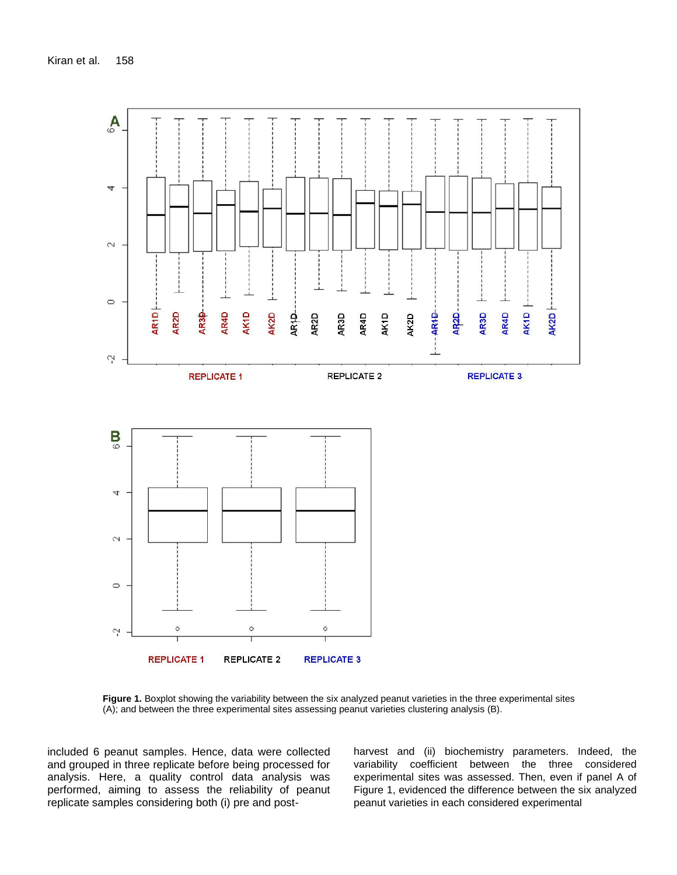

**Figure 1.** Boxplot showing the variability between the six analyzed peanut varieties in the three experimental sites (A); and between the three experimental sites assessing peanut varieties clustering analysis (B).

included 6 peanut samples. Hence, data were collected and grouped in three replicate before being processed for analysis. Here, a quality control data analysis was performed, aiming to assess the reliability of peanut replicate samples considering both (i) pre and postharvest and (ii) biochemistry parameters. Indeed, the variability coefficient between the three considered experimental sites was assessed. Then, even if panel A of Figure 1, evidenced the difference between the six analyzed peanut varieties in each considered experimental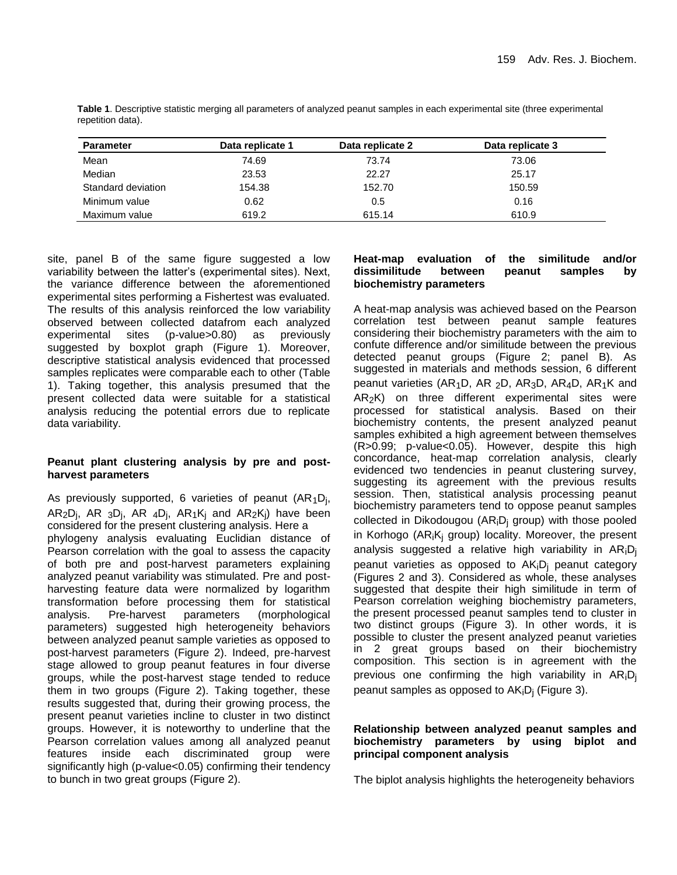| <b>Parameter</b>   | Data replicate 1 | Data replicate 2 | Data replicate 3 |
|--------------------|------------------|------------------|------------------|
| Mean               | 74.69            | 73.74            | 73.06            |
| Median             | 23.53            | 22.27            | 25.17            |
| Standard deviation | 154.38           | 152.70           | 150.59           |
| Minimum value      | 0.62             | 0.5              | 0.16             |
| Maximum value      | 619.2            | 615.14           | 610.9            |

**Table 1**. Descriptive statistic merging all parameters of analyzed peanut samples in each experimental site (three experimental repetition data).

site, panel B of the same figure suggested a low variability between the latter's (experimental sites). Next, the variance difference between the aforementioned experimental sites performing a Fishertest was evaluated. The results of this analysis reinforced the low variability observed between collected datafrom each analyzed experimental sites (p-value>0.80) as previously suggested by boxplot graph (Figure 1). Moreover, descriptive statistical analysis evidenced that processed samples replicates were comparable each to other (Table 1). Taking together, this analysis presumed that the present collected data were suitable for a statistical analysis reducing the potential errors due to replicate data variability.

# **Peanut plant clustering analysis by pre and postharvest parameters**

As previously supported, 6 varieties of peanut  $(AR<sub>1</sub>D<sub>j</sub>)$ ,  $AR_2D_j$ , AR  $_3D_j$ , AR  $_4D_j$ , AR $_1K_j$  and AR $_2K_j$ ) have been considered for the present clustering analysis. Here a phylogeny analysis evaluating Euclidian distance of Pearson correlation with the goal to assess the capacity of both pre and post-harvest parameters explaining analyzed peanut variability was stimulated. Pre and postharvesting feature data were normalized by logarithm transformation before processing them for statistical analysis. Pre-harvest parameters (morphological parameters) suggested high heterogeneity behaviors between analyzed peanut sample varieties as opposed to post-harvest parameters (Figure 2). Indeed, pre-harvest stage allowed to group peanut features in four diverse groups, while the post-harvest stage tended to reduce them in two groups (Figure 2). Taking together, these results suggested that, during their growing process, the present peanut varieties incline to cluster in two distinct groups. However, it is noteworthy to underline that the Pearson correlation values among all analyzed peanut features inside each discriminated group were significantly high (p-value<0.05) confirming their tendency to bunch in two great groups (Figure 2).

# **Heat-map evaluation of the similitude and/or dissimilitude between peanut samples by biochemistry parameters**

A heat-map analysis was achieved based on the Pearson correlation test between peanut sample features considering their biochemistry parameters with the aim to confute difference and/or similitude between the previous detected peanut groups (Figure 2; panel B). As suggested in materials and methods session, 6 different peanut varieties (AR<sub>1</sub>D, AR <sub>2</sub>D, AR<sub>3</sub>D, AR<sub>4</sub>D, AR<sub>1</sub>K and  $AR<sub>2</sub>K$ ) on three different experimental sites were processed for statistical analysis. Based on their biochemistry contents, the present analyzed peanut samples exhibited a high agreement between themselves (R>0.99; p-value<0.05). However, despite this high concordance, heat-map correlation analysis, clearly evidenced two tendencies in peanut clustering survey, suggesting its agreement with the previous results session. Then, statistical analysis processing peanut biochemistry parameters tend to oppose peanut samples collected in Dikodougou ( $AR_iD_i$  group) with those pooled in Korhogo ( $AR_iK_i$  group) locality. Moreover, the present analysis suggested a relative high variability in  $AR_iD_i$ peanut varieties as opposed to  $AK_iD_i$  peanut category (Figures 2 and 3). Considered as whole, these analyses suggested that despite their high similitude in term of Pearson correlation weighing biochemistry parameters, the present processed peanut samples tend to cluster in two distinct groups (Figure 3). In other words, it is possible to cluster the present analyzed peanut varieties in 2 great groups based on their biochemistry composition. This section is in agreement with the previous one confirming the high variability in AR<sub>i</sub>D<sub>i</sub> peanut samples as opposed to  $AK_iD_i$  (Figure 3).

# **Relationship between analyzed peanut samples and biochemistry parameters by using biplot and principal component analysis**

The biplot analysis highlights the heterogeneity behaviors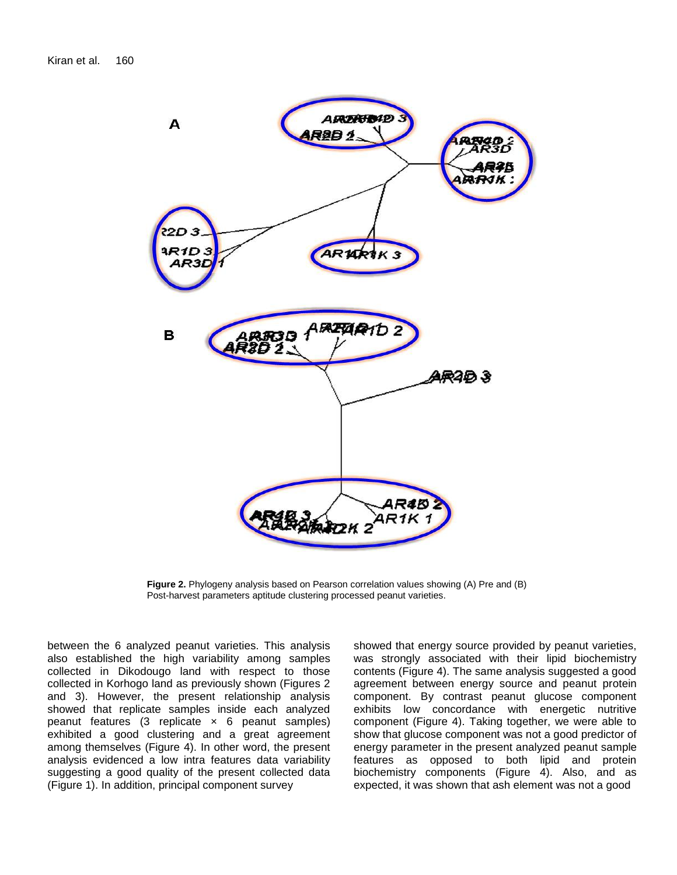

**Figure 2.** Phylogeny analysis based on Pearson correlation values showing (A) Pre and (B) Post-harvest parameters aptitude clustering processed peanut varieties.

between the 6 analyzed peanut varieties. This analysis also established the high variability among samples collected in Dikodougo land with respect to those collected in Korhogo land as previously shown (Figures 2 and 3). However, the present relationship analysis showed that replicate samples inside each analyzed peanut features  $(3$  replicate  $\times$  6 peanut samples) exhibited a good clustering and a great agreement among themselves (Figure 4). In other word, the present analysis evidenced a low intra features data variability suggesting a good quality of the present collected data (Figure 1). In addition, principal component survey

showed that energy source provided by peanut varieties, was strongly associated with their lipid biochemistry contents (Figure 4). The same analysis suggested a good agreement between energy source and peanut protein component. By contrast peanut glucose component exhibits low concordance with energetic nutritive component (Figure 4). Taking together, we were able to show that glucose component was not a good predictor of energy parameter in the present analyzed peanut sample features as opposed to both lipid and protein biochemistry components (Figure 4). Also, and as expected, it was shown that ash element was not a good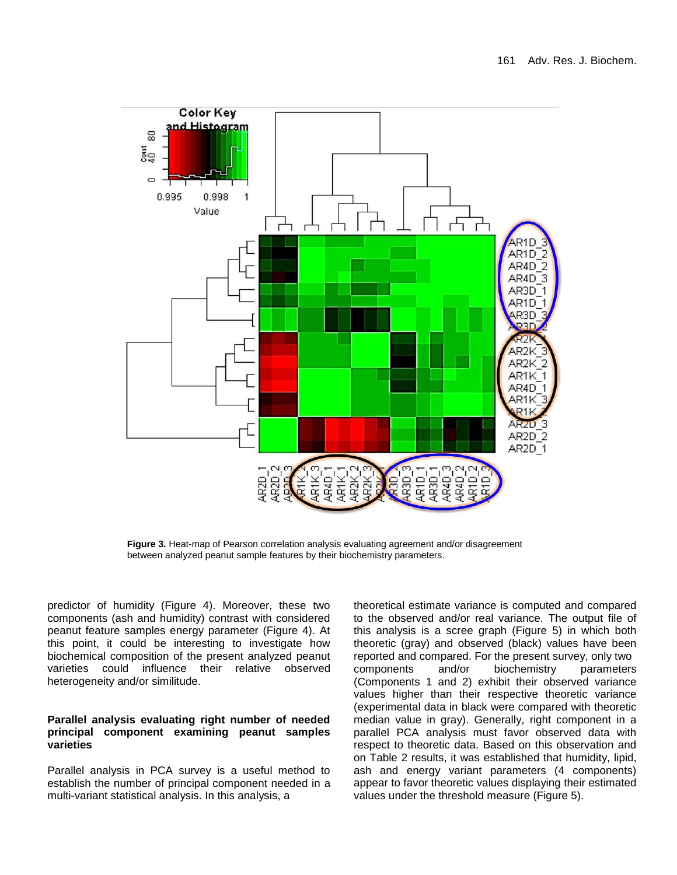

**Figure 3.** Heat-map of Pearson correlation analysis evaluating agreement and/or disagreement between analyzed peanut sample features by their biochemistry parameters.

predictor of humidity (Figure 4). Moreover, these two components (ash and humidity) contrast with considered peanut feature samples energy parameter (Figure 4). At this point, it could be interesting to investigate how biochemical composition of the present analyzed peanut varieties could influence their relative observed heterogeneity and/or similitude.

## **Parallel analysis evaluating right number of needed principal component examining peanut samples varieties**

Parallel analysis in PCA survey is a useful method to establish the number of principal component needed in a multi-variant statistical analysis. In this analysis, a

theoretical estimate variance is computed and compared to the observed and/or real variance. The output file of this analysis is a scree graph (Figure 5) in which both theoretic (gray) and observed (black) values have been reported and compared. For the present survey, only two components and/or biochemistry parameters (Components 1 and 2) exhibit their observed variance values higher than their respective theoretic variance (experimental data in black were compared with theoretic median value in gray). Generally, right component in a parallel PCA analysis must favor observed data with respect to theoretic data. Based on this observation and on Table 2 results, it was established that humidity, lipid, ash and energy variant parameters (4 components) appear to favor theoretic values displaying their estimated values under the threshold measure (Figure 5).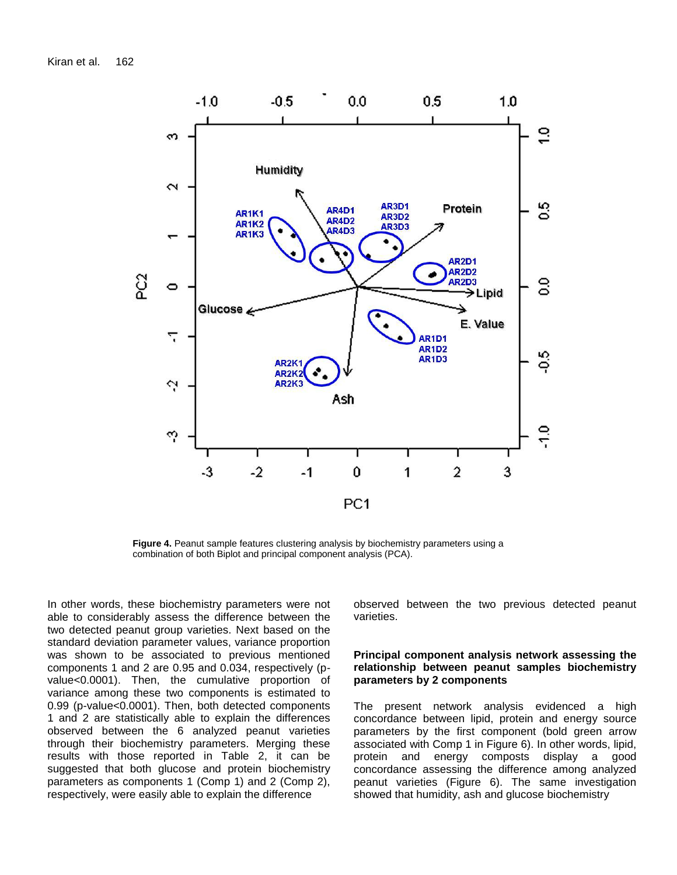Kiran et al. 162



**Figure 4.** Peanut sample features clustering analysis by biochemistry parameters using a combination of both Biplot and principal component analysis (PCA).

In other words, these biochemistry parameters were not able to considerably assess the difference between the two detected peanut group varieties. Next based on the standard deviation parameter values, variance proportion was shown to be associated to previous mentioned components 1 and 2 are 0.95 and 0.034, respectively (pvalue<0.0001). Then, the cumulative proportion of variance among these two components is estimated to 0.99 (p-value<0.0001). Then, both detected components 1 and 2 are statistically able to explain the differences observed between the 6 analyzed peanut varieties through their biochemistry parameters. Merging these results with those reported in Table 2, it can be suggested that both glucose and protein biochemistry parameters as components 1 (Comp 1) and 2 (Comp 2), respectively, were easily able to explain the difference

observed between the two previous detected peanut varieties.

## **Principal component analysis network assessing the relationship between peanut samples biochemistry parameters by 2 components**

The present network analysis evidenced a high concordance between lipid, protein and energy source parameters by the first component (bold green arrow associated with Comp 1 in Figure 6). In other words, lipid, protein and energy composts display a good concordance assessing the difference among analyzed peanut varieties (Figure 6). The same investigation showed that humidity, ash and glucose biochemistry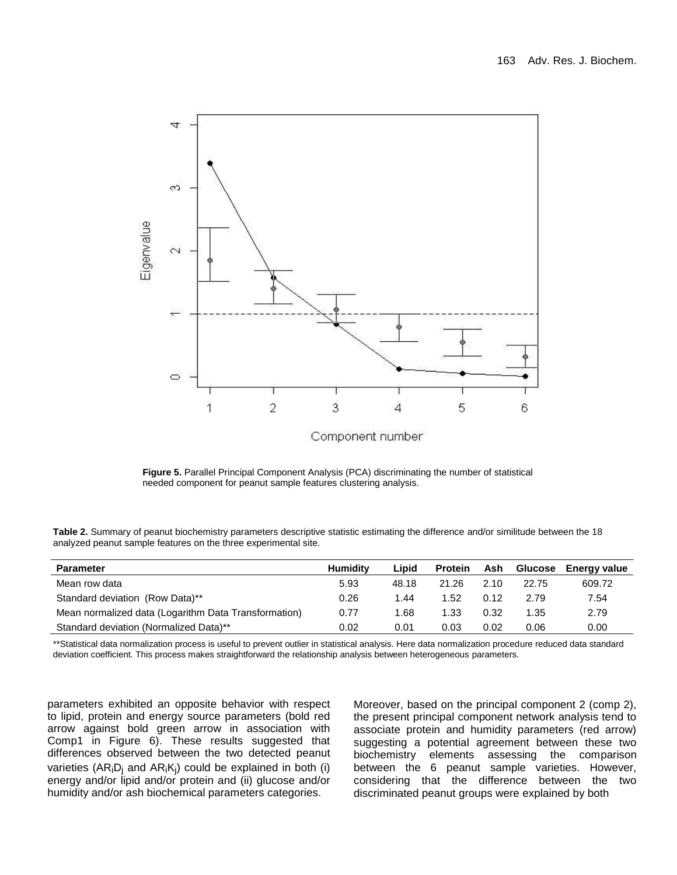

**Figure 5.** Parallel Principal Component Analysis (PCA) discriminating the number of statistical needed component for peanut sample features clustering analysis.

| Table 2. Summary of peanut biochemistry parameters descriptive statistic estimating the difference and/or similitude between the 18 |  |
|-------------------------------------------------------------------------------------------------------------------------------------|--|
| analyzed peanut sample features on the three experimental site.                                                                     |  |

| <b>Parameter</b>                                     | <b>Humidity</b> | Lipid | <b>Protein</b> | Ash  | Glucose | <b>Energy value</b> |
|------------------------------------------------------|-----------------|-------|----------------|------|---------|---------------------|
| Mean row data                                        | 5.93            | 48.18 | 21.26          | 2.10 | 22.75   | 609.72              |
| Standard deviation (Row Data)**                      | 0.26            | 1.44  | 1.52           | 0.12 | 2.79    | 7.54                |
| Mean normalized data (Logarithm Data Transformation) | 0.77            | .68   | 1.33           | 0.32 | 1.35    | 2.79                |
| Standard deviation (Normalized Data)**               | 0.02            | 0.01  | 0.03           | 0.02 | 0.06    | 0.00                |

\*\*Statistical data normalization process is useful to prevent outlier in statistical analysis. Here data normalization procedure reduced data standard deviation coefficient. This process makes straightforward the relationship analysis between heterogeneous parameters.

parameters exhibited an opposite behavior with respect to lipid, protein and energy source parameters (bold red arrow against bold green arrow in association with Comp1 in Figure 6). These results suggested that differences observed between the two detected peanut varieties ( $AR_iD_i$  and  $AR_iK_i$ ) could be explained in both (i) energy and/or lipid and/or protein and (ii) glucose and/or humidity and/or ash biochemical parameters categories.

Moreover, based on the principal component 2 (comp 2), the present principal component network analysis tend to associate protein and humidity parameters (red arrow) suggesting a potential agreement between these two biochemistry elements assessing the comparison between the 6 peanut sample varieties. However, considering that the difference between the two discriminated peanut groups were explained by both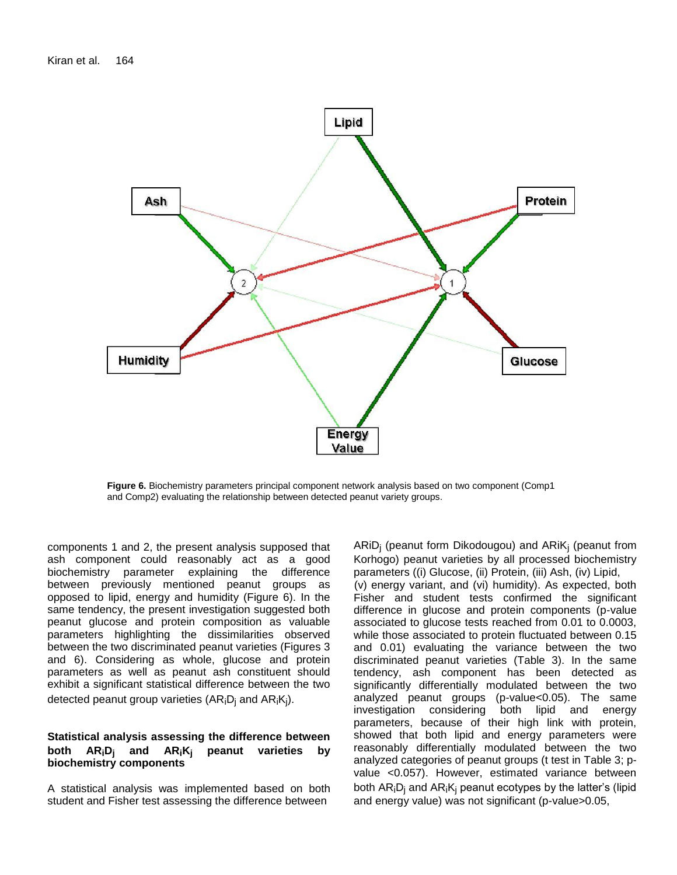

**Figure 6.** Biochemistry parameters principal component network analysis based on two component (Comp1 and Comp2) evaluating the relationship between detected peanut variety groups.

components 1 and 2, the present analysis supposed that ash component could reasonably act as a good biochemistry parameter explaining the difference between previously mentioned peanut groups as opposed to lipid, energy and humidity (Figure 6). In the same tendency, the present investigation suggested both peanut glucose and protein composition as valuable parameters highlighting the dissimilarities observed between the two discriminated peanut varieties (Figures 3 and 6). Considering as whole, glucose and protein parameters as well as peanut ash constituent should exhibit a significant statistical difference between the two detected peanut group varieties  $(AR_iD_i \text{ and } AR_iK_i)$ .

## **Statistical analysis assessing the difference between both ARiDj and ARiKj peanut varieties by biochemistry components**

A statistical analysis was implemented based on both student and Fisher test assessing the difference between

ARiD<sub>i</sub> (peanut form Dikodougou) and ARiK<sub>i</sub> (peanut from Korhogo) peanut varieties by all processed biochemistry parameters ((i) Glucose, (ii) Protein, (iii) Ash, (iv) Lipid, (v) energy variant, and (vi) humidity). As expected, both Fisher and student tests confirmed the significant difference in glucose and protein components (p-value associated to glucose tests reached from 0.01 to 0.0003, while those associated to protein fluctuated between 0.15 and 0.01) evaluating the variance between the two discriminated peanut varieties (Table 3). In the same tendency, ash component has been detected as significantly differentially modulated between the two analyzed peanut groups (p-value<0.05). The same investigation considering both lipid and energy parameters, because of their high link with protein, showed that both lipid and energy parameters were reasonably differentially modulated between the two analyzed categories of peanut groups (t test in Table 3; pvalue <0.057). However, estimated variance between both  $AR_iD_i$  and  $AR_iK_i$  peanut ecotypes by the latter's (lipid and energy value) was not significant (p-value>0.05,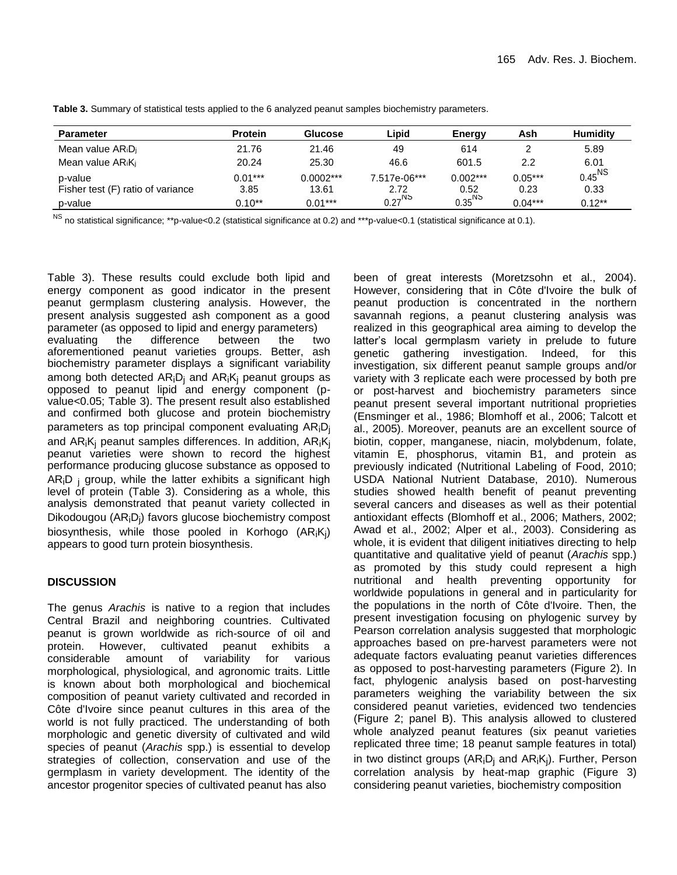| <b>Parameter</b>                          | <b>Protein</b> | Glucose     | ∟ipid              | <b>Energy</b>      | Ash       | <b>Humidity</b> |
|-------------------------------------------|----------------|-------------|--------------------|--------------------|-----------|-----------------|
| Mean value AR <sub>i</sub> D <sub>i</sub> | 21.76          | 21.46       | 49                 | 614                |           | 5.89            |
| Mean value ARiKi                          | 20.24          | 25.30       | 46.6               | 601.5              | 2.2       | 6.01            |
| p-value                                   | $0.01***$      | $0.0002***$ | 7.517e-06***       | $0.002***$         | $0.05***$ | $0.45^{\sf NS}$ |
| Fisher test (F) ratio of variance         | 3.85           | 13.61       | 2.72               | 0.52               | 0.23      | 0.33            |
| p-value                                   | $0.10**$       | $0.01***$   | $0.27^{\text{NS}}$ | $0.35^\mathsf{NS}$ | $0.04***$ | $0.12***$       |

**Table 3.** Summary of statistical tests applied to the 6 analyzed peanut samples biochemistry parameters.

NS no statistical significance; \*\*p-value<0.2 (statistical significance at 0.2) and \*\*\*p-value<0.1 (statistical significance at 0.1).

Table 3). These results could exclude both lipid and energy component as good indicator in the present peanut germplasm clustering analysis. However, the present analysis suggested ash component as a good parameter (as opposed to lipid and energy parameters) evaluating the difference between the two aforementioned peanut varieties groups. Better, ash biochemistry parameter displays a significant variability among both detected  $AR_iD_i$  and  $AR_iK_i$  peanut groups as opposed to peanut lipid and energy component (pvalue<0.05; Table 3). The present result also established and confirmed both glucose and protein biochemistry parameters as top principal component evaluating AR<sub>i</sub>D<sub>i</sub> and  $AR_iK_i$  peanut samples differences. In addition,  $AR_iK_i$ peanut varieties were shown to record the highest performance producing glucose substance as opposed to  $AR_iD_i$  group, while the latter exhibits a significant high level of protein (Table 3). Considering as a whole, this analysis demonstrated that peanut variety collected in Dikodougou (ARiDj) favors glucose biochemistry compost biosynthesis, while those pooled in Korhogo (AR<sub>i</sub>K<sub>j</sub>) appears to good turn protein biosynthesis.

## **DISCUSSION**

The genus *Arachis* is native to a region that includes Central Brazil and neighboring countries. Cultivated peanut is grown worldwide as rich-source of oil and protein. However, cultivated peanut exhibits a considerable amount of variability for various morphological, physiological, and agronomic traits. Little is known about both morphological and biochemical composition of peanut variety cultivated and recorded in Côte d'Ivoire since peanut cultures in this area of the world is not fully practiced. The understanding of both morphologic and genetic diversity of cultivated and wild species of peanut (*Arachis* spp.) is essential to develop strategies of collection, conservation and use of the germplasm in variety development. The identity of the ancestor progenitor species of cultivated peanut has also

been of great interests (Moretzsohn et al., 2004). However, considering that in Côte d'Ivoire the bulk of peanut production is concentrated in the northern savannah regions, a peanut clustering analysis was realized in this geographical area aiming to develop the latter's local germplasm variety in prelude to future genetic gathering investigation. Indeed, for this investigation, six different peanut sample groups and/or variety with 3 replicate each were processed by both pre or post-harvest and biochemistry parameters since peanut present several important nutritional proprieties (Ensminger et al., 1986; Blomhoff et al., 2006; Talcott et al., 2005). Moreover, peanuts are an excellent source of biotin, copper, manganese, niacin, molybdenum, folate, vitamin E, phosphorus, vitamin B1, and protein as previously indicated (Nutritional Labeling of Food, 2010; USDA National Nutrient Database, 2010). Numerous studies showed health benefit of peanut preventing several cancers and diseases as well as their potential antioxidant effects (Blomhoff et al., 2006; Mathers, 2002; Awad et al., 2002; Alper et al., 2003). Considering as whole, it is evident that diligent initiatives directing to help quantitative and qualitative yield of peanut (*Arachis* spp.) as promoted by this study could represent a high nutritional and health preventing opportunity for worldwide populations in general and in particularity for the populations in the north of Côte d'Ivoire. Then, the present investigation focusing on phylogenic survey by Pearson correlation analysis suggested that morphologic approaches based on pre-harvest parameters were not adequate factors evaluating peanut varieties differences as opposed to post-harvesting parameters (Figure 2). In fact, phylogenic analysis based on post-harvesting parameters weighing the variability between the six considered peanut varieties, evidenced two tendencies (Figure 2; panel B). This analysis allowed to clustered whole analyzed peanut features (six peanut varieties replicated three time; 18 peanut sample features in total) in two distinct groups  $(AR_iD_i)$  and  $AR_iK_i$ ). Further, Person correlation analysis by heat-map graphic (Figure 3) considering peanut varieties, biochemistry composition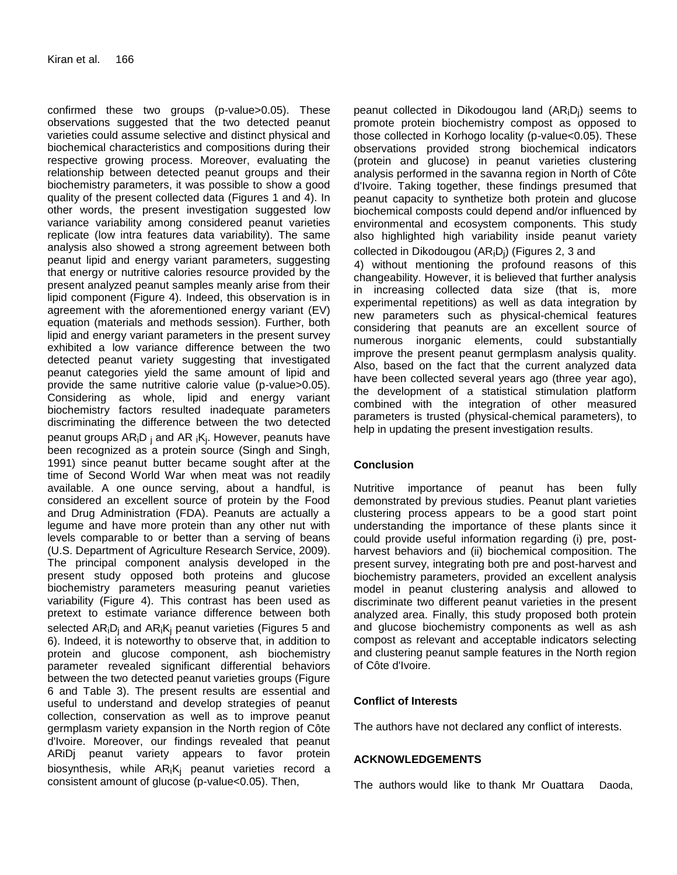confirmed these two groups (p-value>0.05). These observations suggested that the two detected peanut varieties could assume selective and distinct physical and biochemical characteristics and compositions during their respective growing process. Moreover, evaluating the relationship between detected peanut groups and their biochemistry parameters, it was possible to show a good quality of the present collected data (Figures 1 and 4). In other words, the present investigation suggested low variance variability among considered peanut varieties replicate (low intra features data variability). The same analysis also showed a strong agreement between both peanut lipid and energy variant parameters, suggesting that energy or nutritive calories resource provided by the present analyzed peanut samples meanly arise from their lipid component (Figure 4). Indeed, this observation is in agreement with the aforementioned energy variant (EV) equation (materials and methods session). Further, both lipid and energy variant parameters in the present survey exhibited a low variance difference between the two detected peanut variety suggesting that investigated peanut categories yield the same amount of lipid and provide the same nutritive calorie value (p-value>0.05). Considering as whole, lipid and energy variant biochemistry factors resulted inadequate parameters discriminating the difference between the two detected peanut groups AR<sub>i</sub>D<sub>j</sub> and AR <sub>i</sub>K<sub>j</sub>. However, peanuts have been recognized as a protein source (Singh and Singh, 1991) since peanut butter became sought after at the time of Second World War when meat was not readily available. A one ounce serving, about a handful, is considered an excellent source of protein by the Food and Drug Administration (FDA). Peanuts are actually a legume and have more protein than any other nut with levels comparable to or better than a serving of beans (U.S. Department of Agriculture Research Service, 2009). The principal component analysis developed in the present study opposed both proteins and glucose biochemistry parameters measuring peanut varieties variability (Figure 4). This contrast has been used as pretext to estimate variance difference between both selected  $AR_iD_i$  and  $AR_iK_i$  peanut varieties (Figures 5 and 6). Indeed, it is noteworthy to observe that, in addition to protein and glucose component, ash biochemistry parameter revealed significant differential behaviors between the two detected peanut varieties groups (Figure 6 and Table 3). The present results are essential and useful to understand and develop strategies of peanut collection, conservation as well as to improve peanut germplasm variety expansion in the North region of Côte d'Ivoire. Moreover, our findings revealed that peanut ARiDj peanut variety appears to favor protein biosynthesis, while  $AR_iK_i$  peanut varieties record a consistent amount of glucose (p-value<0.05). Then,

peanut collected in Dikodougou land  $(AR_iD_i)$  seems to promote protein biochemistry compost as opposed to those collected in Korhogo locality (p-value<0.05). These observations provided strong biochemical indicators (protein and glucose) in peanut varieties clustering analysis performed in the savanna region in North of Côte d'Ivoire. Taking together, these findings presumed that peanut capacity to synthetize both protein and glucose biochemical composts could depend and/or influenced by environmental and ecosystem components. This study also highlighted high variability inside peanut variety collected in Dikodougou  $(AR_iD_i)$  (Figures 2, 3 and 4) without mentioning the profound reasons of this changeability. However, it is believed that further analysis in increasing collected data size (that is, more experimental repetitions) as well as data integration by new parameters such as physical-chemical features considering that peanuts are an excellent source of numerous inorganic elements, could substantially improve the present peanut germplasm analysis quality. Also, based on the fact that the current analyzed data have been collected several years ago (three year ago), the development of a statistical stimulation platform combined with the integration of other measured parameters is trusted (physical-chemical parameters), to help in updating the present investigation results.

# **Conclusion**

Nutritive importance of peanut has been fully demonstrated by previous studies. Peanut plant varieties clustering process appears to be a good start point understanding the importance of these plants since it could provide useful information regarding (i) pre, postharvest behaviors and (ii) biochemical composition. The present survey, integrating both pre and post-harvest and biochemistry parameters, provided an excellent analysis model in peanut clustering analysis and allowed to discriminate two different peanut varieties in the present analyzed area. Finally, this study proposed both protein and glucose biochemistry components as well as ash compost as relevant and acceptable indicators selecting and clustering peanut sample features in the North region of Côte d'Ivoire.

## **Conflict of Interests**

The authors have not declared any conflict of interests.

# **ACKNOWLEDGEMENTS**

The authors would like to thank Mr Ouattara Daoda,